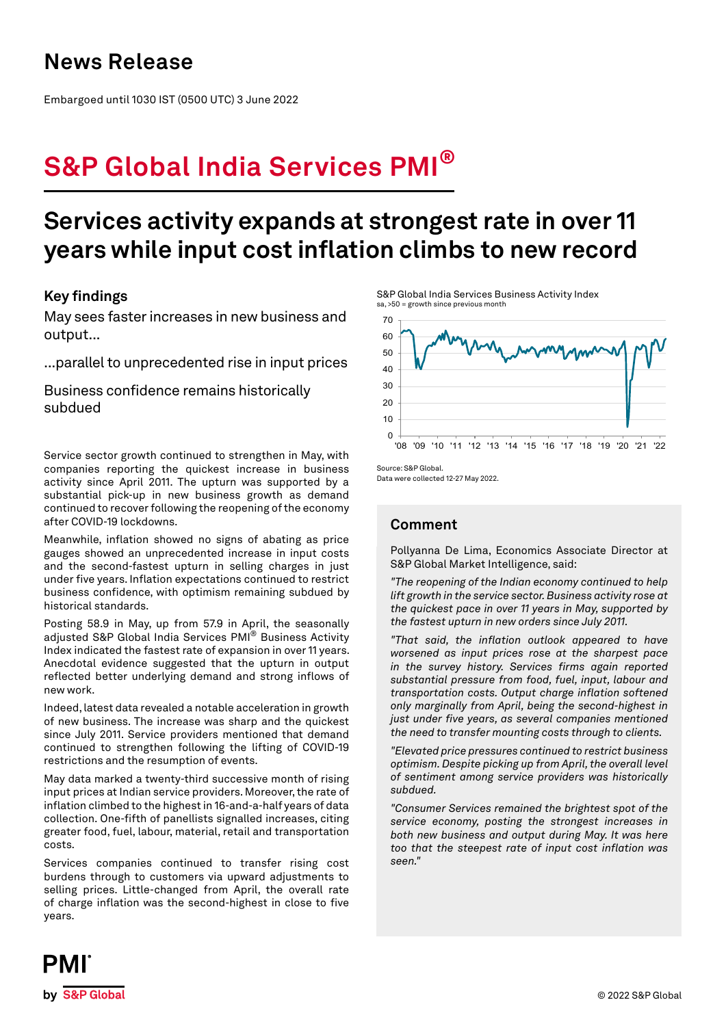### **News Release**

Embargoed until 1030 IST (0500 UTC) 3 June 2022

# **S&P Global India Services PMI®**

# **Services activity expands at strongest rate in over 11 years while input cost inflation climbs to new record**

### **Key findings**

May sees faster increases in new business and output...

...parallel to unprecedented rise in input prices

Business confidence remains historically subdued

Service sector growth continued to strengthen in May, with companies reporting the quickest increase in business activity since April 2011. The upturn was supported by a substantial pick-up in new business growth as demand continued to recover following the reopening of the economy after COVID-19 lockdowns.

Meanwhile, inflation showed no signs of abating as price gauges showed an unprecedented increase in input costs and the second-fastest upturn in selling charges in just under five years. Inflation expectations continued to restrict business confidence, with optimism remaining subdued by historical standards.

Posting 58.9 in May, up from 57.9 in April, the seasonally adjusted S&P Global India Services PMI® Business Activity Index indicated the fastest rate of expansion in over 11 years. Anecdotal evidence suggested that the upturn in output reflected better underlying demand and strong inflows of new work.

Indeed, latest data revealed a notable acceleration in growth of new business. The increase was sharp and the quickest since July 2011. Service providers mentioned that demand continued to strengthen following the lifting of COVID-19 restrictions and the resumption of events.

May data marked a twenty-third successive month of rising input prices at Indian service providers. Moreover, the rate of inflation climbed to the highest in 16-and-a-half years of data collection. One-fifth of panellists signalled increases, citing greater food, fuel, labour, material, retail and transportation costs.

Services companies continued to transfer rising cost burdens through to customers via upward adjustments to selling prices. Little-changed from April, the overall rate of charge inflation was the second-highest in close to five years.

S&P Global India Services Business Activity Index sa, >50 = growth since previous month



Source: S&P Global. Data were collected 12-27 May 2022.

### **Comment**

Pollyanna De Lima, Economics Associate Director at S&P Global Market Intelligence, said:

*"The reopening of the Indian economy continued to help lift growth in the service sector. Business activity rose at the quickest pace in over 11 years in May, supported by the fastest upturn in new orders since July 2011.*

*"That said, the inflation outlook appeared to have worsened as input prices rose at the sharpest pace in the survey history. Services firms again reported substantial pressure from food, fuel, input, labour and transportation costs. Output charge inflation softened only marginally from April, being the second-highest in just under five years, as several companies mentioned the need to transfer mounting costs through to clients.*

*"Elevated price pressures continued to restrict business optimism. Despite picking up from April, the overall level of sentiment among service providers was historically subdued.*

*"Consumer Services remained the brightest spot of the service economy, posting the strongest increases in both new business and output during May. It was here too that the steepest rate of input cost inflation was seen."*

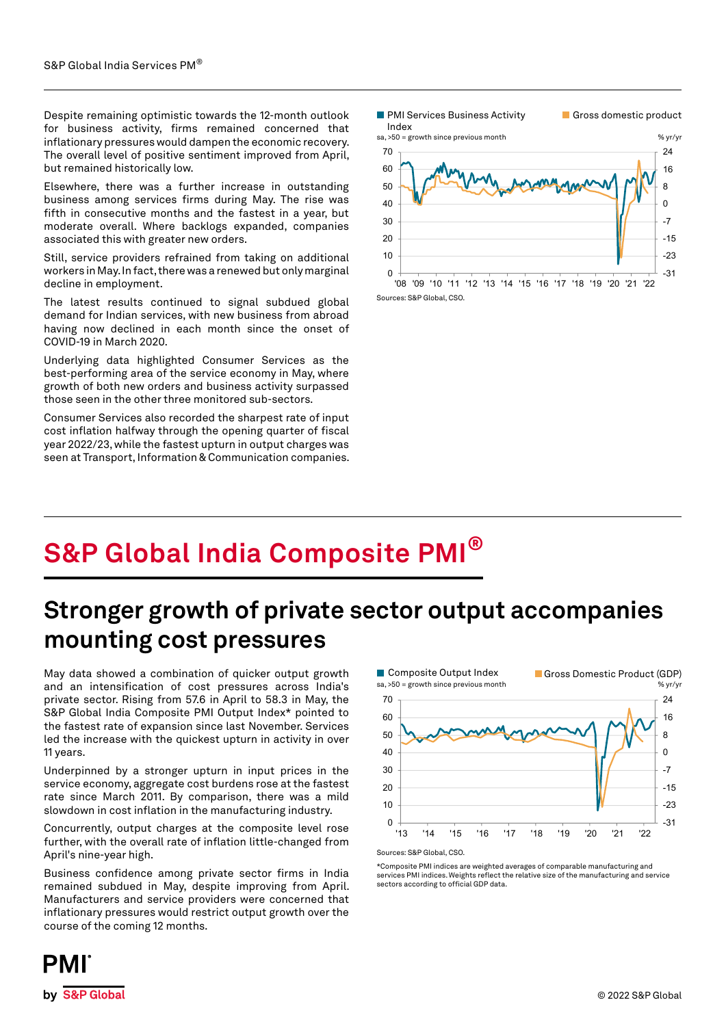Despite remaining optimistic towards the 12-month outlook for business activity, firms remained concerned that inflationary pressures would dampen the economic recovery. The overall level of positive sentiment improved from April, but remained historically low.

Elsewhere, there was a further increase in outstanding business among services firms during May. The rise was fifth in consecutive months and the fastest in a year, but moderate overall. Where backlogs expanded, companies associated this with greater new orders.

Still, service providers refrained from taking on additional workers in May. In fact, there was a renewed but only marginal decline in employment.

The latest results continued to signal subdued global demand for Indian services, with new business from abroad having now declined in each month since the onset of COVID-19 in March 2020.

Underlying data highlighted Consumer Services as the best-performing area of the service economy in May, where growth of both new orders and business activity surpassed those seen in the other three monitored sub-sectors.

Consumer Services also recorded the sharpest rate of input cost inflation halfway through the opening quarter of fiscal year 2022/23, while the fastest upturn in output charges was seen at Transport, Information & Communication companies.



**S&P Global India Composite PMI®**

## **Stronger growth of private sector output accompanies mounting cost pressures**

May data showed a combination of quicker output growth and an intensification of cost pressures across India's private sector. Rising from 57.6 in April to 58.3 in May, the S&P Global India Composite PMI Output Index\* pointed to the fastest rate of expansion since last November. Services led the increase with the quickest upturn in activity in over 11 years.

Underpinned by a stronger upturn in input prices in the service economy, aggregate cost burdens rose at the fastest rate since March 2011. By comparison, there was a mild slowdown in cost inflation in the manufacturing industry.

Concurrently, output charges at the composite level rose further, with the overall rate of inflation little-changed from April's nine-year high.

Business confidence among private sector firms in India remained subdued in May, despite improving from April. Manufacturers and service providers were concerned that inflationary pressures would restrict output growth over the course of the coming 12 months.



Sources: S&P Global, CSO.

\*Composite PMI indices are weighted averages of comparable manufacturing and services PMI indices. Weights reflect the relative size of the manufacturing and service sectors according to official GDP data.